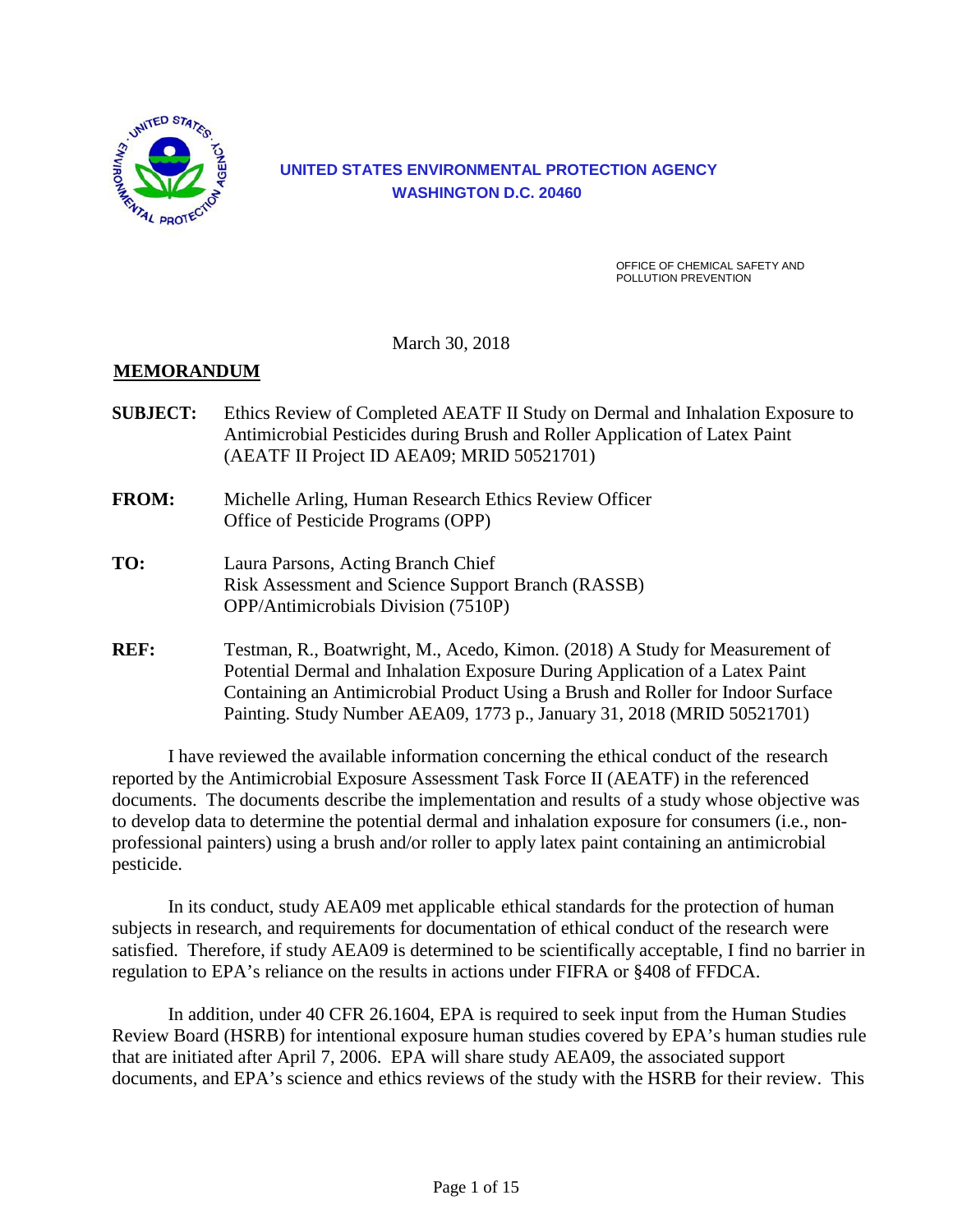

## **UNITED STATES ENVIRONMENTAL PROTECTION AGENCY WASHINGTON D.C. 20460**

OFFICE OF CHEMICAL SAFETY AND POLLUTION PREVENTION

March 30, 2018

## **MEMORANDUM**

- **SUBJECT:** Ethics Review of Completed AEATF II Study on Dermal and Inhalation Exposure to Antimicrobial Pesticides during Brush and Roller Application of Latex Paint (AEATF II Project ID AEA09; MRID 50521701)
- **FROM:** Michelle Arling, Human Research Ethics Review Officer Office of Pesticide Programs (OPP)
- **TO:** Laura Parsons, Acting Branch Chief Risk Assessment and Science Support Branch (RASSB) OPP/Antimicrobials Division (7510P)
- **REF:** Testman, R., Boatwright, M., Acedo, Kimon. (2018) A Study for Measurement of Potential Dermal and Inhalation Exposure During Application of a Latex Paint Containing an Antimicrobial Product Using a Brush and Roller for Indoor Surface Painting. Study Number AEA09, 1773 p., January 31, 2018 (MRID 50521701)

I have reviewed the available information concerning the ethical conduct of the research reported by the Antimicrobial Exposure Assessment Task Force II (AEATF) in the referenced documents. The documents describe the implementation and results of a study whose objective was to develop data to determine the potential dermal and inhalation exposure for consumers (i.e., nonprofessional painters) using a brush and/or roller to apply latex paint containing an antimicrobial pesticide.

In its conduct, study AEA09 met applicable ethical standards for the protection of human subjects in research, and requirements for documentation of ethical conduct of the research were satisfied. Therefore, if study AEA09 is determined to be scientifically acceptable, I find no barrier in regulation to EPA's reliance on the results in actions under FIFRA or §408 of FFDCA.

In addition, under 40 CFR 26.1604, EPA is required to seek input from the Human Studies Review Board (HSRB) for intentional exposure human studies covered by EPA's human studies rule that are initiated after April 7, 2006. EPA will share study AEA09, the associated support documents, and EPA's science and ethics reviews of the study with the HSRB for their review. This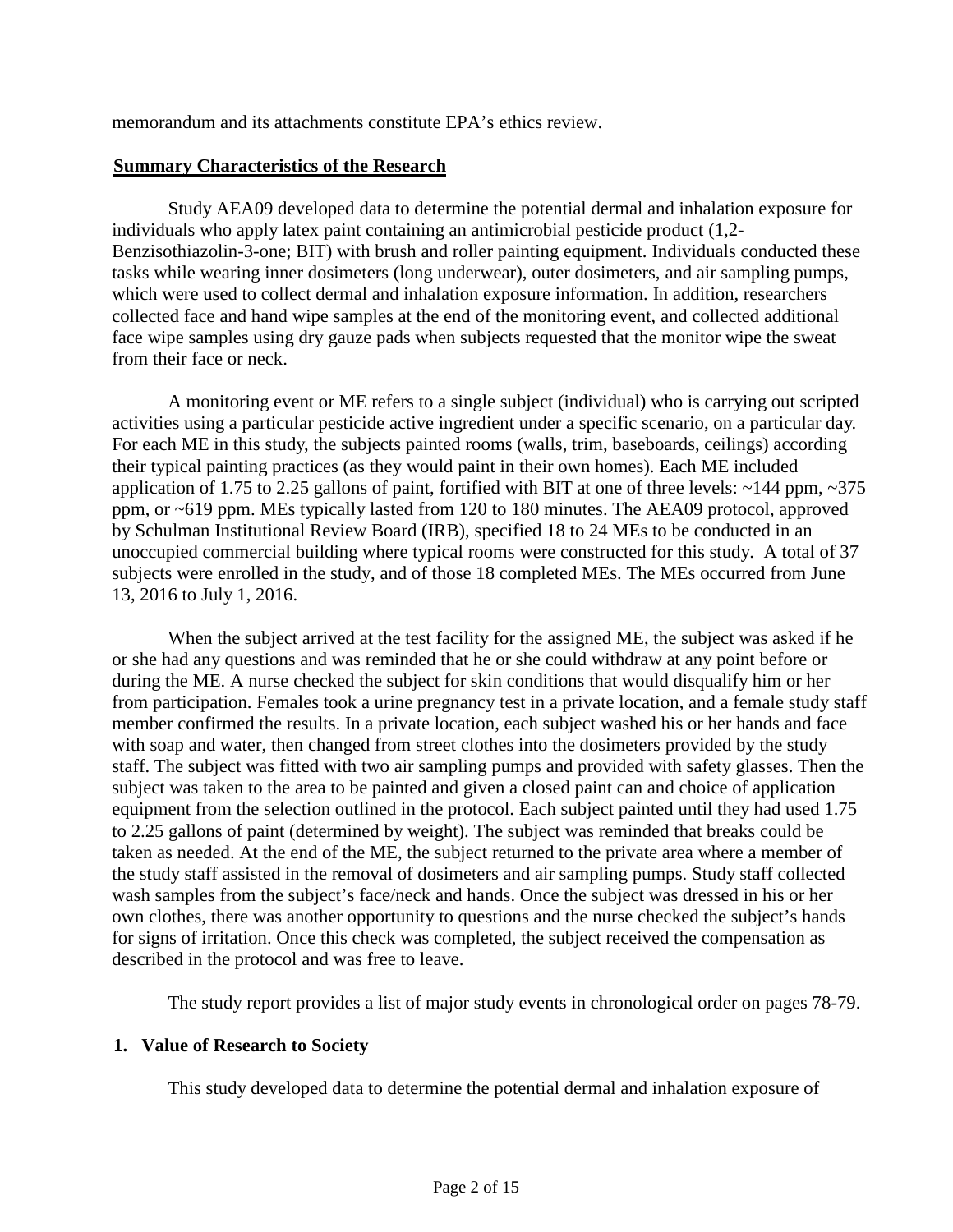memorandum and its attachments constitute EPA's ethics review.

#### **Summary Characteristics of the Research**

Study AEA09 developed data to determine the potential dermal and inhalation exposure for individuals who apply latex paint containing an antimicrobial pesticide product (1,2- Benzisothiazolin-3-one; BIT) with brush and roller painting equipment. Individuals conducted these tasks while wearing inner dosimeters (long underwear), outer dosimeters, and air sampling pumps, which were used to collect dermal and inhalation exposure information. In addition, researchers collected face and hand wipe samples at the end of the monitoring event, and collected additional face wipe samples using dry gauze pads when subjects requested that the monitor wipe the sweat from their face or neck.

A monitoring event or ME refers to a single subject (individual) who is carrying out scripted activities using a particular pesticide active ingredient under a specific scenario, on a particular day. For each ME in this study, the subjects painted rooms (walls, trim, baseboards, ceilings) according their typical painting practices (as they would paint in their own homes). Each ME included application of 1.75 to 2.25 gallons of paint, fortified with BIT at one of three levels: ~144 ppm, ~375 ppm, or ~619 ppm. MEs typically lasted from 120 to 180 minutes. The AEA09 protocol, approved by Schulman Institutional Review Board (IRB), specified 18 to 24 MEs to be conducted in an unoccupied commercial building where typical rooms were constructed for this study. A total of 37 subjects were enrolled in the study, and of those 18 completed MEs. The MEs occurred from June 13, 2016 to July 1, 2016.

When the subject arrived at the test facility for the assigned ME, the subject was asked if he or she had any questions and was reminded that he or she could withdraw at any point before or during the ME. A nurse checked the subject for skin conditions that would disqualify him or her from participation. Females took a urine pregnancy test in a private location, and a female study staff member confirmed the results. In a private location, each subject washed his or her hands and face with soap and water, then changed from street clothes into the dosimeters provided by the study staff. The subject was fitted with two air sampling pumps and provided with safety glasses. Then the subject was taken to the area to be painted and given a closed paint can and choice of application equipment from the selection outlined in the protocol. Each subject painted until they had used 1.75 to 2.25 gallons of paint (determined by weight). The subject was reminded that breaks could be taken as needed. At the end of the ME, the subject returned to the private area where a member of the study staff assisted in the removal of dosimeters and air sampling pumps. Study staff collected wash samples from the subject's face/neck and hands. Once the subject was dressed in his or her own clothes, there was another opportunity to questions and the nurse checked the subject's hands for signs of irritation. Once this check was completed, the subject received the compensation as described in the protocol and was free to leave.

The study report provides a list of major study events in chronological order on pages 78-79.

#### **1. Value of Research to Society**

This study developed data to determine the potential dermal and inhalation exposure of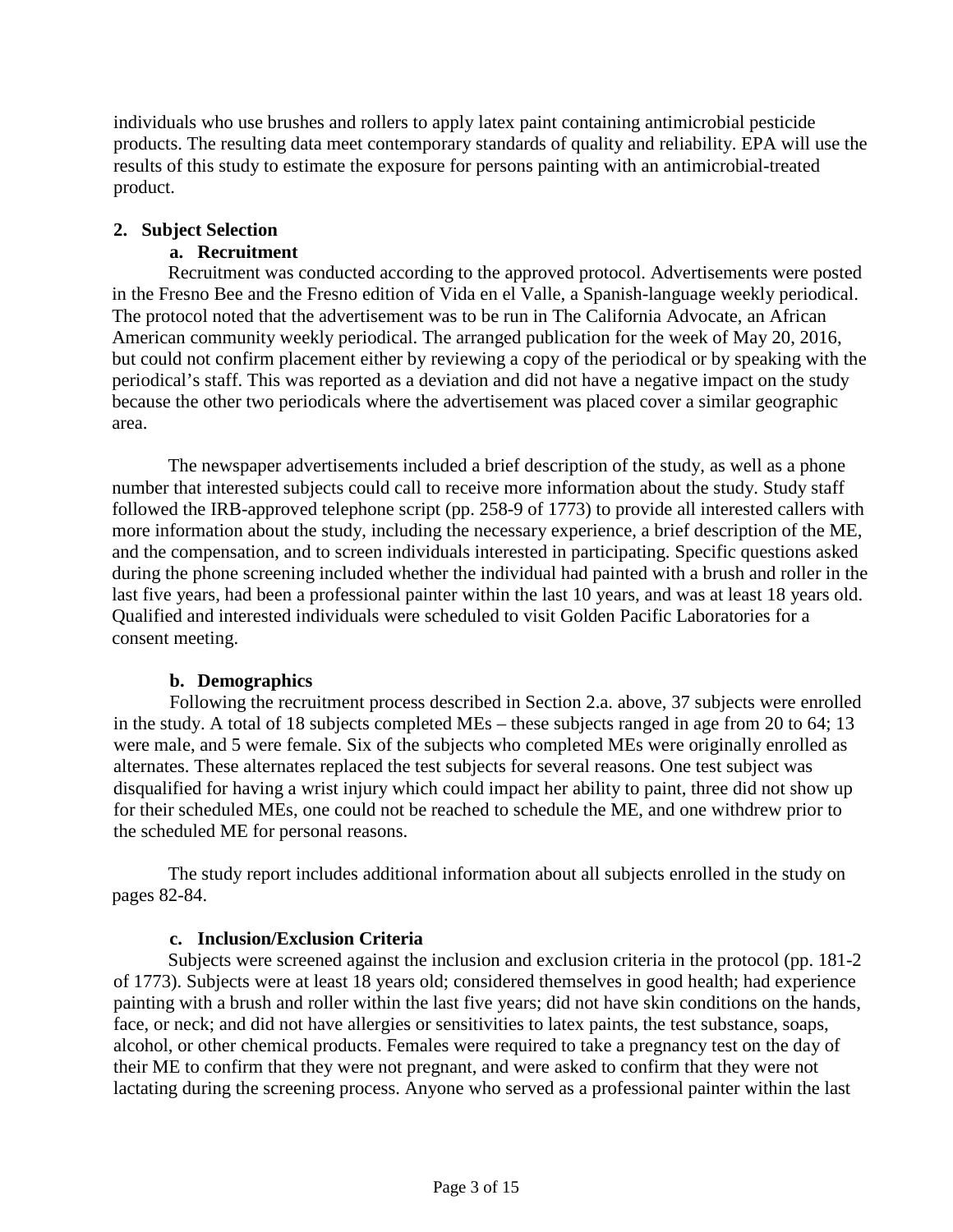individuals who use brushes and rollers to apply latex paint containing antimicrobial pesticide products. The resulting data meet contemporary standards of quality and reliability. EPA will use the results of this study to estimate the exposure for persons painting with an antimicrobial-treated product.

## **2. Subject Selection**

## **a. Recruitment**

Recruitment was conducted according to the approved protocol. Advertisements were posted in the Fresno Bee and the Fresno edition of Vida en el Valle, a Spanish-language weekly periodical. The protocol noted that the advertisement was to be run in The California Advocate, an African American community weekly periodical. The arranged publication for the week of May 20, 2016, but could not confirm placement either by reviewing a copy of the periodical or by speaking with the periodical's staff. This was reported as a deviation and did not have a negative impact on the study because the other two periodicals where the advertisement was placed cover a similar geographic area.

The newspaper advertisements included a brief description of the study, as well as a phone number that interested subjects could call to receive more information about the study. Study staff followed the IRB-approved telephone script (pp. 258-9 of 1773) to provide all interested callers with more information about the study, including the necessary experience, a brief description of the ME, and the compensation, and to screen individuals interested in participating. Specific questions asked during the phone screening included whether the individual had painted with a brush and roller in the last five years, had been a professional painter within the last 10 years, and was at least 18 years old. Qualified and interested individuals were scheduled to visit Golden Pacific Laboratories for a consent meeting.

## **b. Demographics**

Following the recruitment process described in Section 2.a. above, 37 subjects were enrolled in the study. A total of 18 subjects completed MEs – these subjects ranged in age from 20 to 64; 13 were male, and 5 were female. Six of the subjects who completed MEs were originally enrolled as alternates. These alternates replaced the test subjects for several reasons. One test subject was disqualified for having a wrist injury which could impact her ability to paint, three did not show up for their scheduled MEs, one could not be reached to schedule the ME, and one withdrew prior to the scheduled ME for personal reasons.

The study report includes additional information about all subjects enrolled in the study on pages 82-84.

## **c. Inclusion/Exclusion Criteria**

Subjects were screened against the inclusion and exclusion criteria in the protocol (pp. 181-2 of 1773). Subjects were at least 18 years old; considered themselves in good health; had experience painting with a brush and roller within the last five years; did not have skin conditions on the hands, face, or neck; and did not have allergies or sensitivities to latex paints, the test substance, soaps, alcohol, or other chemical products. Females were required to take a pregnancy test on the day of their ME to confirm that they were not pregnant, and were asked to confirm that they were not lactating during the screening process. Anyone who served as a professional painter within the last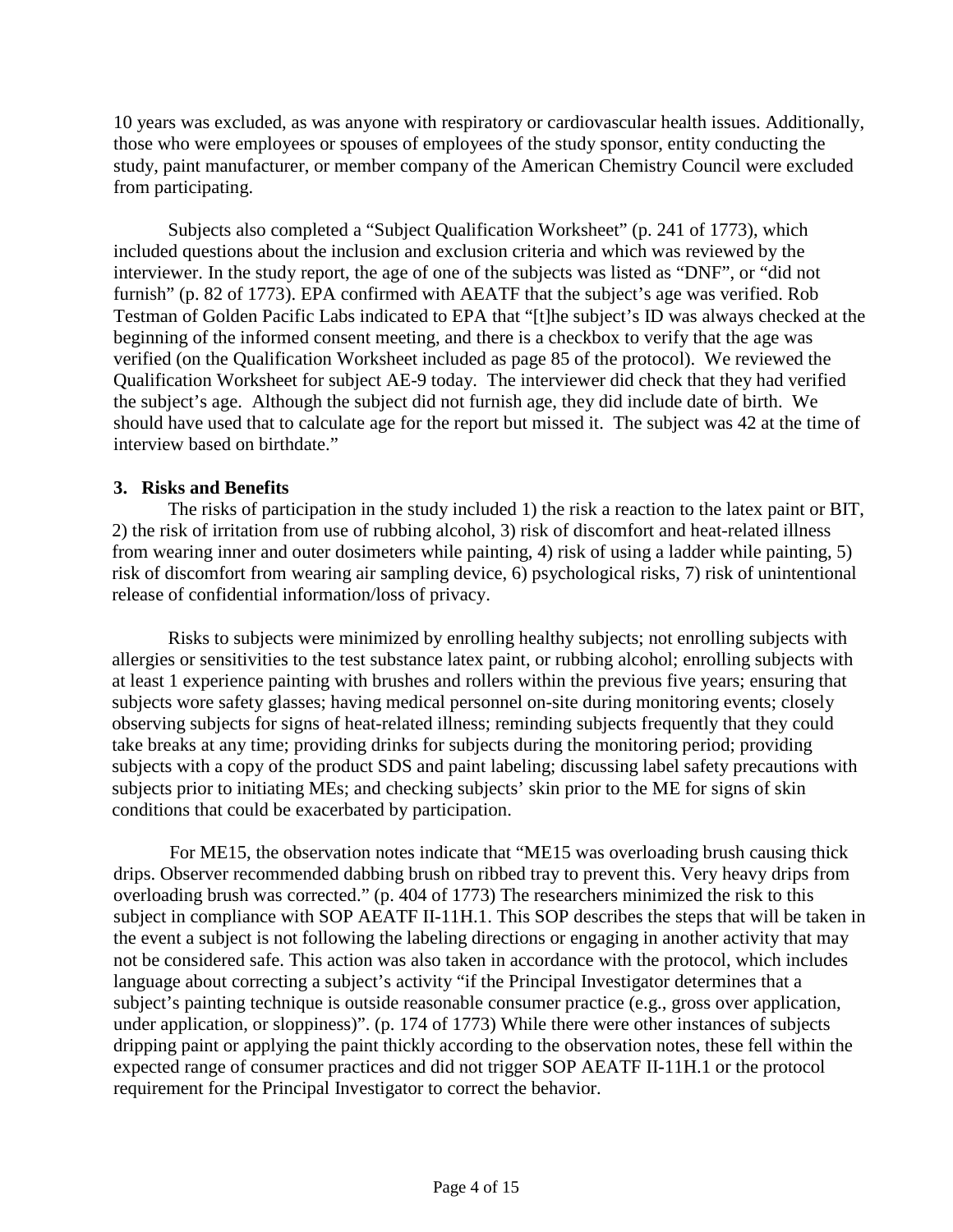10 years was excluded, as was anyone with respiratory or cardiovascular health issues. Additionally, those who were employees or spouses of employees of the study sponsor, entity conducting the study, paint manufacturer, or member company of the American Chemistry Council were excluded from participating.

Subjects also completed a "Subject Qualification Worksheet" (p. 241 of 1773), which included questions about the inclusion and exclusion criteria and which was reviewed by the interviewer. In the study report, the age of one of the subjects was listed as "DNF", or "did not furnish" (p. 82 of 1773). EPA confirmed with AEATF that the subject's age was verified. Rob Testman of Golden Pacific Labs indicated to EPA that "[t]he subject's ID was always checked at the beginning of the informed consent meeting, and there is a checkbox to verify that the age was verified (on the Qualification Worksheet included as page 85 of the protocol). We reviewed the Qualification Worksheet for subject AE-9 today. The interviewer did check that they had verified the subject's age. Although the subject did not furnish age, they did include date of birth. We should have used that to calculate age for the report but missed it. The subject was 42 at the time of interview based on birthdate."

## **3. Risks and Benefits**

The risks of participation in the study included 1) the risk a reaction to the latex paint or BIT, 2) the risk of irritation from use of rubbing alcohol, 3) risk of discomfort and heat-related illness from wearing inner and outer dosimeters while painting, 4) risk of using a ladder while painting, 5) risk of discomfort from wearing air sampling device, 6) psychological risks, 7) risk of unintentional release of confidential information/loss of privacy.

Risks to subjects were minimized by enrolling healthy subjects; not enrolling subjects with allergies or sensitivities to the test substance latex paint, or rubbing alcohol; enrolling subjects with at least 1 experience painting with brushes and rollers within the previous five years; ensuring that subjects wore safety glasses; having medical personnel on-site during monitoring events; closely observing subjects for signs of heat-related illness; reminding subjects frequently that they could take breaks at any time; providing drinks for subjects during the monitoring period; providing subjects with a copy of the product SDS and paint labeling; discussing label safety precautions with subjects prior to initiating MEs; and checking subjects' skin prior to the ME for signs of skin conditions that could be exacerbated by participation.

For ME15, the observation notes indicate that "ME15 was overloading brush causing thick drips. Observer recommended dabbing brush on ribbed tray to prevent this. Very heavy drips from overloading brush was corrected." (p. 404 of 1773) The researchers minimized the risk to this subject in compliance with SOP AEATF II-11H.1. This SOP describes the steps that will be taken in the event a subject is not following the labeling directions or engaging in another activity that may not be considered safe. This action was also taken in accordance with the protocol, which includes language about correcting a subject's activity "if the Principal Investigator determines that a subject's painting technique is outside reasonable consumer practice (e.g., gross over application, under application, or sloppiness)". (p. 174 of 1773) While there were other instances of subjects dripping paint or applying the paint thickly according to the observation notes, these fell within the expected range of consumer practices and did not trigger SOP AEATF II-11H.1 or the protocol requirement for the Principal Investigator to correct the behavior.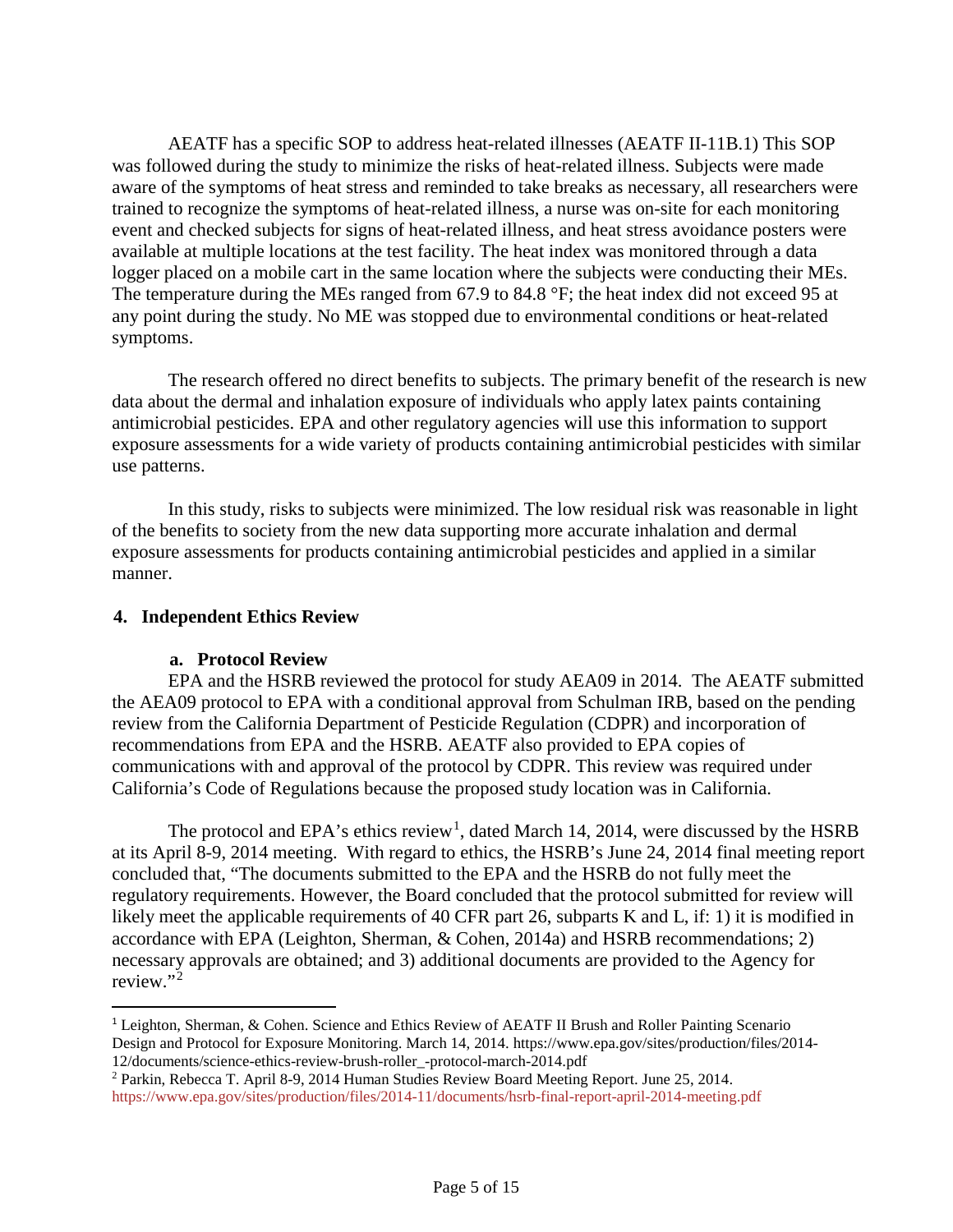AEATF has a specific SOP to address heat-related illnesses (AEATF II-11B.1) This SOP was followed during the study to minimize the risks of heat-related illness. Subjects were made aware of the symptoms of heat stress and reminded to take breaks as necessary, all researchers were trained to recognize the symptoms of heat-related illness, a nurse was on-site for each monitoring event and checked subjects for signs of heat-related illness, and heat stress avoidance posters were available at multiple locations at the test facility. The heat index was monitored through a data logger placed on a mobile cart in the same location where the subjects were conducting their MEs. The temperature during the MEs ranged from 67.9 to 84.8 °F; the heat index did not exceed 95 at any point during the study. No ME was stopped due to environmental conditions or heat-related symptoms.

The research offered no direct benefits to subjects. The primary benefit of the research is new data about the dermal and inhalation exposure of individuals who apply latex paints containing antimicrobial pesticides. EPA and other regulatory agencies will use this information to support exposure assessments for a wide variety of products containing antimicrobial pesticides with similar use patterns.

In this study, risks to subjects were minimized. The low residual risk was reasonable in light of the benefits to society from the new data supporting more accurate inhalation and dermal exposure assessments for products containing antimicrobial pesticides and applied in a similar manner.

#### **4. Independent Ethics Review**

#### **a. Protocol Review**

EPA and the HSRB reviewed the protocol for study AEA09 in 2014. The AEATF submitted the AEA09 protocol to EPA with a conditional approval from Schulman IRB, based on the pending review from the California Department of Pesticide Regulation (CDPR) and incorporation of recommendations from EPA and the HSRB. AEATF also provided to EPA copies of communications with and approval of the protocol by CDPR. This review was required under California's Code of Regulations because the proposed study location was in California.

The protocol and EPA's ethics review<sup>[1](#page-4-0)</sup>, dated March 14, 2014, were discussed by the HSRB at its April 8-9, 2014 meeting. With regard to ethics, the HSRB's June 24, 2014 final meeting report concluded that, "The documents submitted to the EPA and the HSRB do not fully meet the regulatory requirements. However, the Board concluded that the protocol submitted for review will likely meet the applicable requirements of 40 CFR part 26, subparts K and L, if: 1) it is modified in accordance with EPA (Leighton, Sherman, & Cohen, 2014a) and HSRB recommendations; 2) necessary approvals are obtained; and 3) additional documents are provided to the Agency for review."[2](#page-4-1)

<span id="page-4-0"></span> <sup>1</sup> Leighton, Sherman, & Cohen. Science and Ethics Review of AEATF II Brush and Roller Painting Scenario Design and Protocol for Exposure Monitoring. March 14, 2014. https://www.epa.gov/sites/production/files/2014- 12/documents/science-ethics-review-brush-roller\_-protocol-march-2014.pdf

<span id="page-4-1"></span><sup>2</sup> Parkin, Rebecca T. April 8-9, 2014 Human Studies Review Board Meeting Report. June 25, 2014. <https://www.epa.gov/sites/production/files/2014-11/documents/hsrb-final-report-april-2014-meeting.pdf>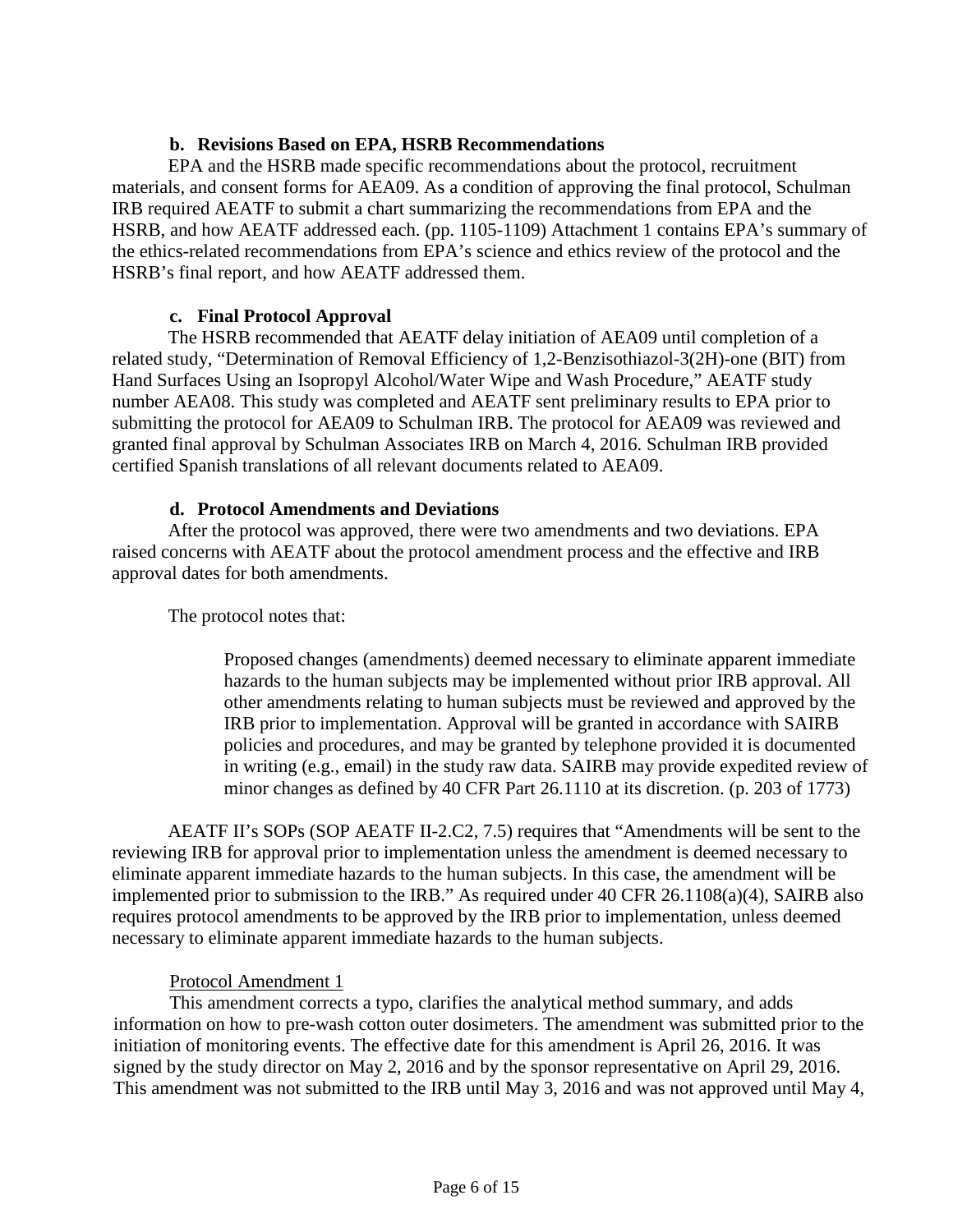## **b. Revisions Based on EPA, HSRB Recommendations**

EPA and the HSRB made specific recommendations about the protocol, recruitment materials, and consent forms for AEA09. As a condition of approving the final protocol, Schulman IRB required AEATF to submit a chart summarizing the recommendations from EPA and the HSRB, and how AEATF addressed each. (pp. 1105-1109) Attachment 1 contains EPA's summary of the ethics-related recommendations from EPA's science and ethics review of the protocol and the HSRB's final report, and how AEATF addressed them.

#### **c. Final Protocol Approval**

The HSRB recommended that AEATF delay initiation of AEA09 until completion of a related study, "Determination of Removal Efficiency of 1,2-Benzisothiazol-3(2H)-one (BIT) from Hand Surfaces Using an Isopropyl Alcohol/Water Wipe and Wash Procedure," AEATF study number AEA08. This study was completed and AEATF sent preliminary results to EPA prior to submitting the protocol for AEA09 to Schulman IRB. The protocol for AEA09 was reviewed and granted final approval by Schulman Associates IRB on March 4, 2016. Schulman IRB provided certified Spanish translations of all relevant documents related to AEA09.

#### **d. Protocol Amendments and Deviations**

After the protocol was approved, there were two amendments and two deviations. EPA raised concerns with AEATF about the protocol amendment process and the effective and IRB approval dates for both amendments.

The protocol notes that:

Proposed changes (amendments) deemed necessary to eliminate apparent immediate hazards to the human subjects may be implemented without prior IRB approval. All other amendments relating to human subjects must be reviewed and approved by the IRB prior to implementation. Approval will be granted in accordance with SAIRB policies and procedures, and may be granted by telephone provided it is documented in writing (e.g., email) in the study raw data. SAIRB may provide expedited review of minor changes as defined by 40 CFR Part 26.1110 at its discretion. (p. 203 of 1773)

AEATF II's SOPs (SOP AEATF II-2.C2, 7.5) requires that "Amendments will be sent to the reviewing IRB for approval prior to implementation unless the amendment is deemed necessary to eliminate apparent immediate hazards to the human subjects. In this case, the amendment will be implemented prior to submission to the IRB." As required under 40 CFR 26.1108(a)(4), SAIRB also requires protocol amendments to be approved by the IRB prior to implementation, unless deemed necessary to eliminate apparent immediate hazards to the human subjects.

#### Protocol Amendment 1

This amendment corrects a typo, clarifies the analytical method summary, and adds information on how to pre-wash cotton outer dosimeters. The amendment was submitted prior to the initiation of monitoring events. The effective date for this amendment is April 26, 2016. It was signed by the study director on May 2, 2016 and by the sponsor representative on April 29, 2016. This amendment was not submitted to the IRB until May 3, 2016 and was not approved until May 4,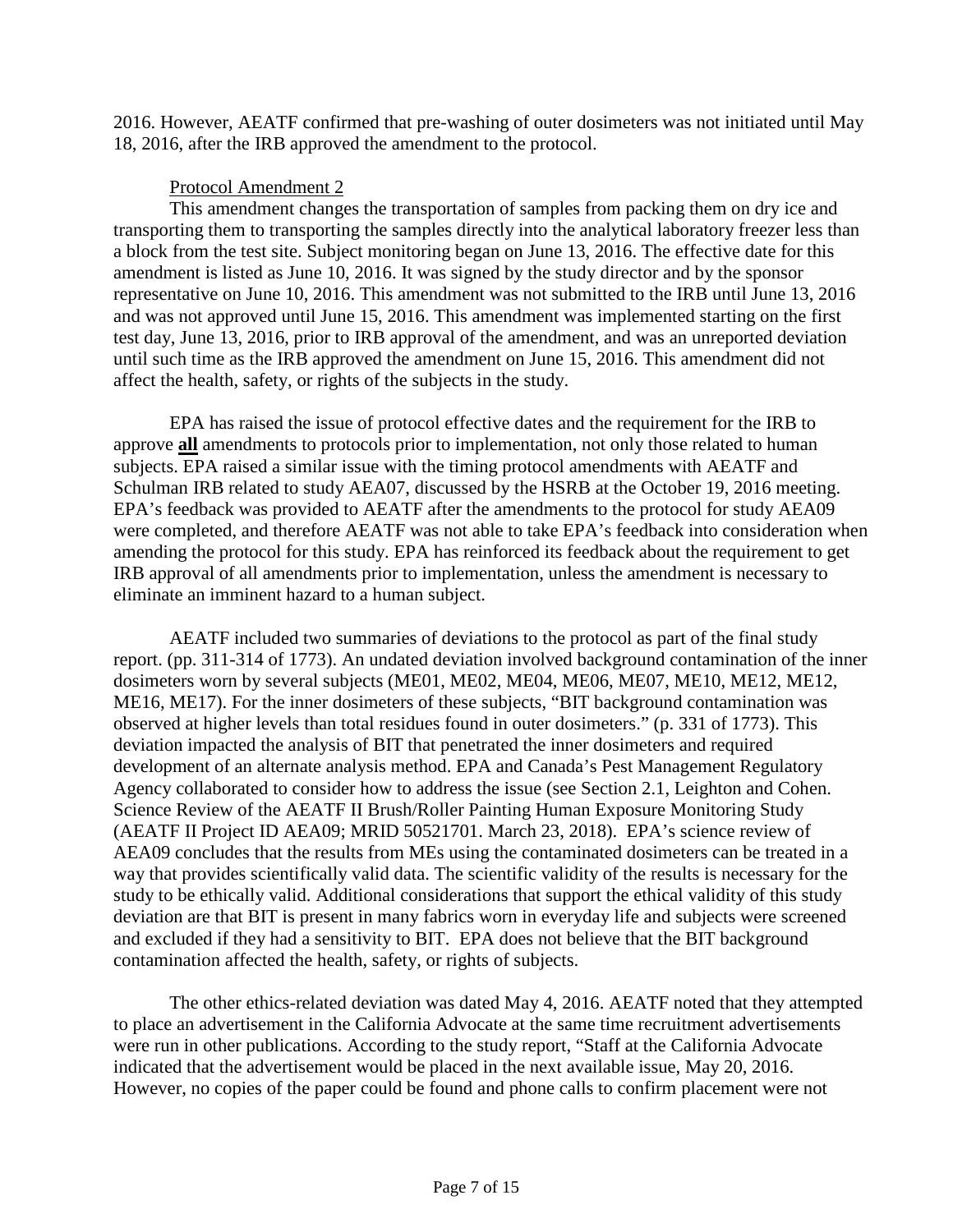2016. However, AEATF confirmed that pre-washing of outer dosimeters was not initiated until May 18, 2016, after the IRB approved the amendment to the protocol.

## Protocol Amendment 2

This amendment changes the transportation of samples from packing them on dry ice and transporting them to transporting the samples directly into the analytical laboratory freezer less than a block from the test site. Subject monitoring began on June 13, 2016. The effective date for this amendment is listed as June 10, 2016. It was signed by the study director and by the sponsor representative on June 10, 2016. This amendment was not submitted to the IRB until June 13, 2016 and was not approved until June 15, 2016. This amendment was implemented starting on the first test day, June 13, 2016, prior to IRB approval of the amendment, and was an unreported deviation until such time as the IRB approved the amendment on June 15, 2016. This amendment did not affect the health, safety, or rights of the subjects in the study.

EPA has raised the issue of protocol effective dates and the requirement for the IRB to approve **all** amendments to protocols prior to implementation, not only those related to human subjects. EPA raised a similar issue with the timing protocol amendments with AEATF and Schulman IRB related to study AEA07, discussed by the HSRB at the October 19, 2016 meeting. EPA's feedback was provided to AEATF after the amendments to the protocol for study AEA09 were completed, and therefore AEATF was not able to take EPA's feedback into consideration when amending the protocol for this study. EPA has reinforced its feedback about the requirement to get IRB approval of all amendments prior to implementation, unless the amendment is necessary to eliminate an imminent hazard to a human subject.

AEATF included two summaries of deviations to the protocol as part of the final study report. (pp. 311-314 of 1773). An undated deviation involved background contamination of the inner dosimeters worn by several subjects (ME01, ME02, ME04, ME06, ME07, ME10, ME12, ME12, ME16, ME17). For the inner dosimeters of these subjects, "BIT background contamination was observed at higher levels than total residues found in outer dosimeters." (p. 331 of 1773). This deviation impacted the analysis of BIT that penetrated the inner dosimeters and required development of an alternate analysis method. EPA and Canada's Pest Management Regulatory Agency collaborated to consider how to address the issue (see Section 2.1, Leighton and Cohen. Science Review of the AEATF II Brush/Roller Painting Human Exposure Monitoring Study (AEATF II Project ID AEA09; MRID 50521701. March 23, 2018). EPA's science review of AEA09 concludes that the results from MEs using the contaminated dosimeters can be treated in a way that provides scientifically valid data. The scientific validity of the results is necessary for the study to be ethically valid. Additional considerations that support the ethical validity of this study deviation are that BIT is present in many fabrics worn in everyday life and subjects were screened and excluded if they had a sensitivity to BIT. EPA does not believe that the BIT background contamination affected the health, safety, or rights of subjects.

The other ethics-related deviation was dated May 4, 2016. AEATF noted that they attempted to place an advertisement in the California Advocate at the same time recruitment advertisements were run in other publications. According to the study report, "Staff at the California Advocate indicated that the advertisement would be placed in the next available issue, May 20, 2016. However, no copies of the paper could be found and phone calls to confirm placement were not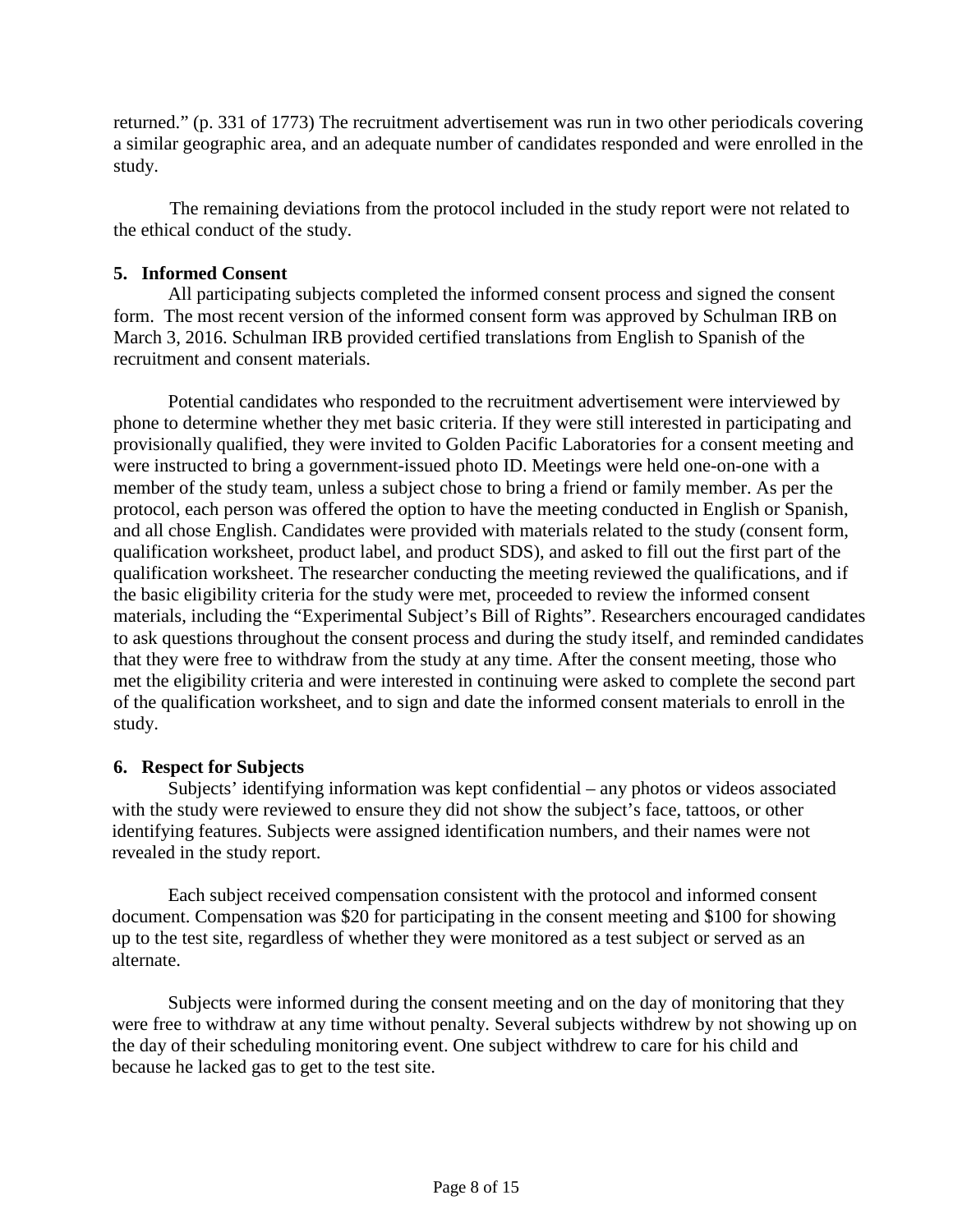returned." (p. 331 of 1773) The recruitment advertisement was run in two other periodicals covering a similar geographic area, and an adequate number of candidates responded and were enrolled in the study.

The remaining deviations from the protocol included in the study report were not related to the ethical conduct of the study.

## **5. Informed Consent**

All participating subjects completed the informed consent process and signed the consent form. The most recent version of the informed consent form was approved by Schulman IRB on March 3, 2016. Schulman IRB provided certified translations from English to Spanish of the recruitment and consent materials.

Potential candidates who responded to the recruitment advertisement were interviewed by phone to determine whether they met basic criteria. If they were still interested in participating and provisionally qualified, they were invited to Golden Pacific Laboratories for a consent meeting and were instructed to bring a government-issued photo ID. Meetings were held one-on-one with a member of the study team, unless a subject chose to bring a friend or family member. As per the protocol, each person was offered the option to have the meeting conducted in English or Spanish, and all chose English. Candidates were provided with materials related to the study (consent form, qualification worksheet, product label, and product SDS), and asked to fill out the first part of the qualification worksheet. The researcher conducting the meeting reviewed the qualifications, and if the basic eligibility criteria for the study were met, proceeded to review the informed consent materials, including the "Experimental Subject's Bill of Rights". Researchers encouraged candidates to ask questions throughout the consent process and during the study itself, and reminded candidates that they were free to withdraw from the study at any time. After the consent meeting, those who met the eligibility criteria and were interested in continuing were asked to complete the second part of the qualification worksheet, and to sign and date the informed consent materials to enroll in the study.

## **6. Respect for Subjects**

Subjects' identifying information was kept confidential – any photos or videos associated with the study were reviewed to ensure they did not show the subject's face, tattoos, or other identifying features. Subjects were assigned identification numbers, and their names were not revealed in the study report.

Each subject received compensation consistent with the protocol and informed consent document. Compensation was \$20 for participating in the consent meeting and \$100 for showing up to the test site, regardless of whether they were monitored as a test subject or served as an alternate.

Subjects were informed during the consent meeting and on the day of monitoring that they were free to withdraw at any time without penalty. Several subjects withdrew by not showing up on the day of their scheduling monitoring event. One subject withdrew to care for his child and because he lacked gas to get to the test site.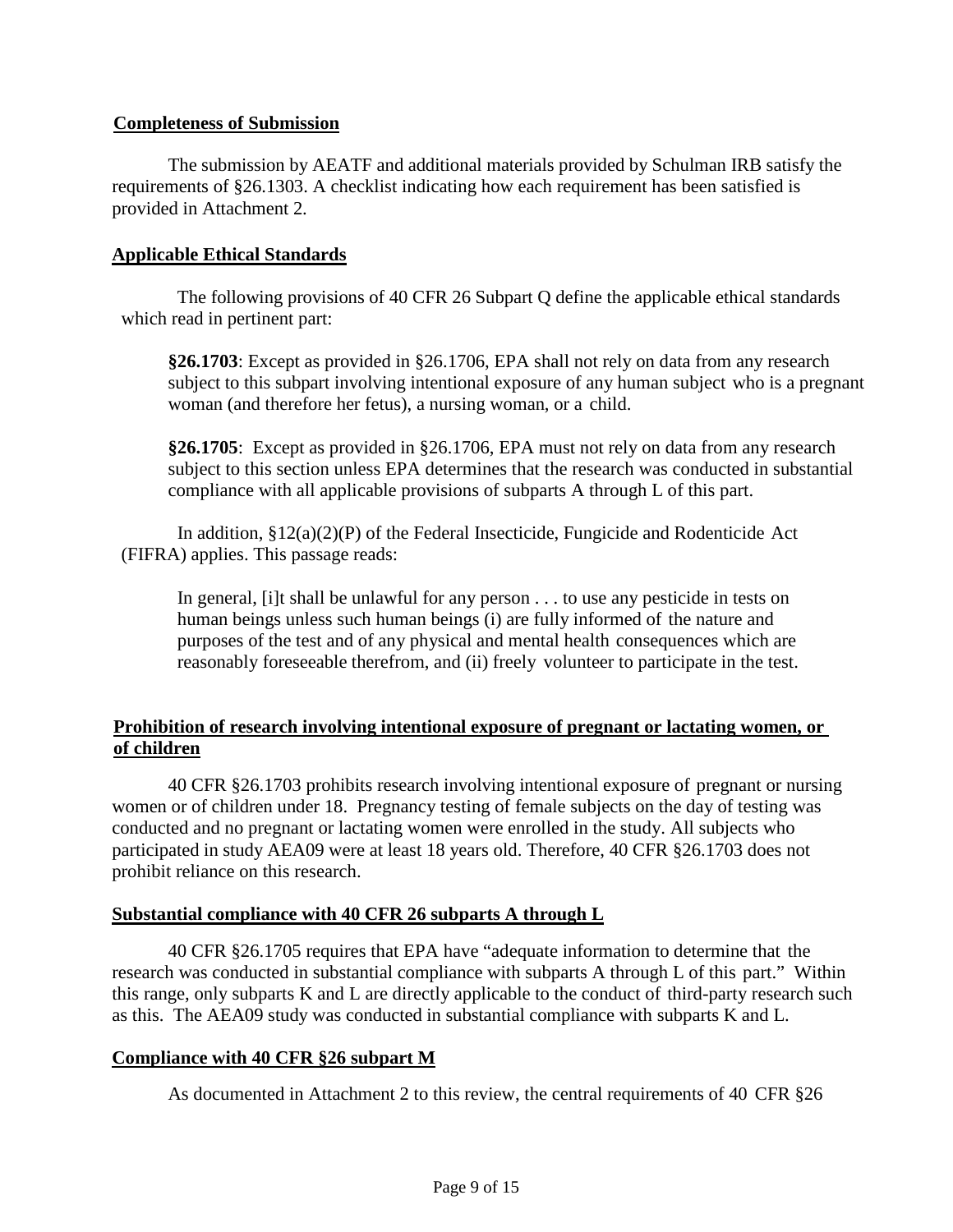## **Completeness of Submission**

The submission by AEATF and additional materials provided by Schulman IRB satisfy the requirements of §26.1303. A checklist indicating how each requirement has been satisfied is provided in Attachment 2.

#### **Applicable Ethical Standards**

The following provisions of 40 CFR 26 Subpart Q define the applicable ethical standards which read in pertinent part:

**§26.1703**: Except as provided in §26.1706, EPA shall not rely on data from any research subject to this subpart involving intentional exposure of any human subject who is a pregnant woman (and therefore her fetus), a nursing woman, or a child.

**§26.1705**: Except as provided in §26.1706, EPA must not rely on data from any research subject to this section unless EPA determines that the research was conducted in substantial compliance with all applicable provisions of subparts A through L of this part.

In addition, §12(a)(2)(P) of the Federal Insecticide, Fungicide and Rodenticide Act (FIFRA) applies. This passage reads:

In general, [i]t shall be unlawful for any person . . . to use any pesticide in tests on human beings unless such human beings (i) are fully informed of the nature and purposes of the test and of any physical and mental health consequences which are reasonably foreseeable therefrom, and (ii) freely volunteer to participate in the test.

## **Prohibition of research involving intentional exposure of pregnant or lactating women, or of children**

40 CFR §26.1703 prohibits research involving intentional exposure of pregnant or nursing women or of children under 18. Pregnancy testing of female subjects on the day of testing was conducted and no pregnant or lactating women were enrolled in the study. All subjects who participated in study AEA09 were at least 18 years old. Therefore, 40 CFR §26.1703 does not prohibit reliance on this research.

## **Substantial compliance with 40 CFR 26 subparts A through L**

40 CFR §26.1705 requires that EPA have "adequate information to determine that the research was conducted in substantial compliance with subparts A through L of this part." Within this range, only subparts K and L are directly applicable to the conduct of third-party research such as this. The AEA09 study was conducted in substantial compliance with subparts K and L.

#### **Compliance with 40 CFR §26 subpart M**

As documented in Attachment 2 to this review, the central requirements of 40 CFR §26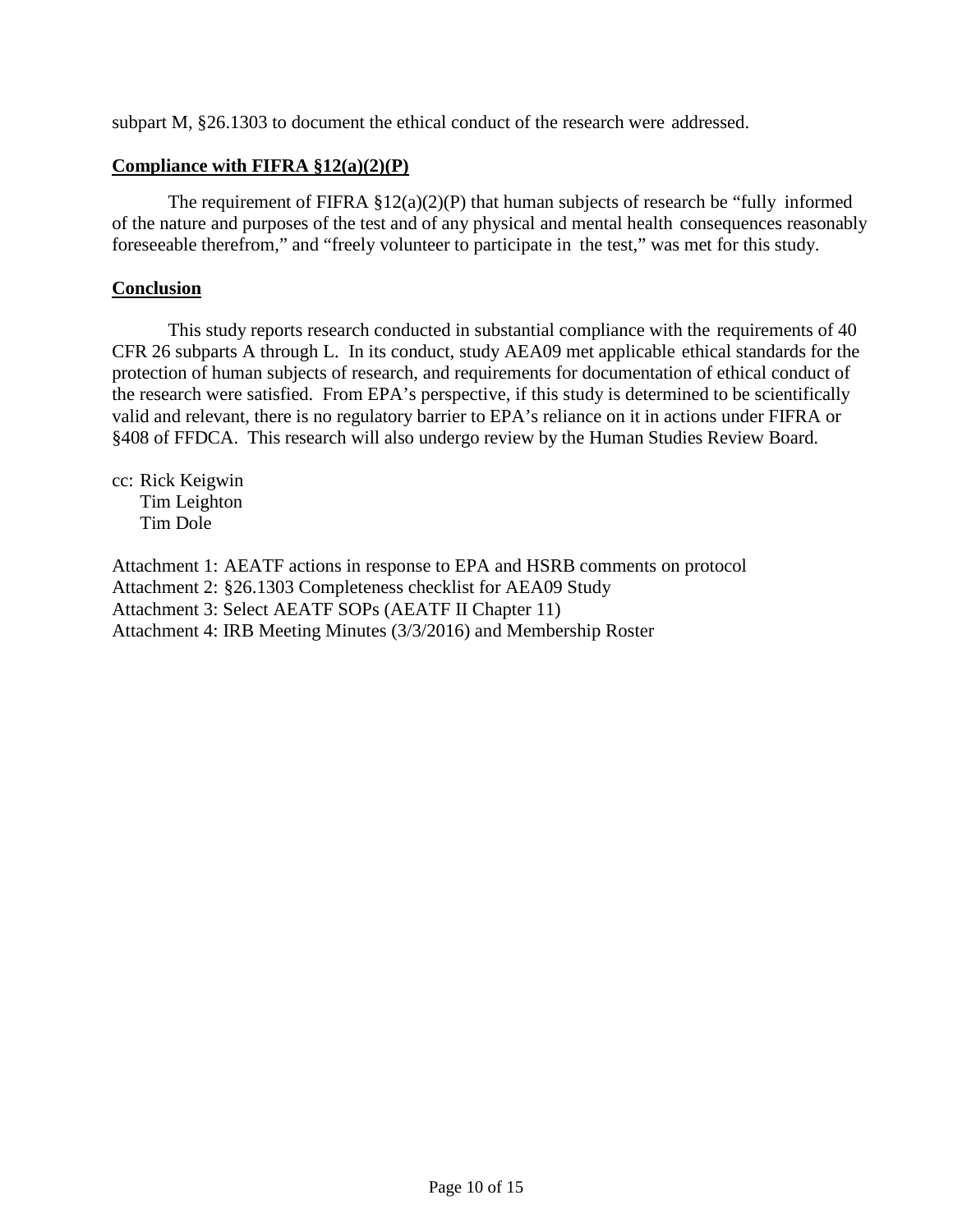subpart M, §26.1303 to document the ethical conduct of the research were addressed.

#### **Compliance with FIFRA §12(a)(2)(P)**

The requirement of FIFRA  $\S 12(a)(2)(P)$  that human subjects of research be "fully informed" of the nature and purposes of the test and of any physical and mental health consequences reasonably foreseeable therefrom," and "freely volunteer to participate in the test," was met for this study.

#### **Conclusion**

This study reports research conducted in substantial compliance with the requirements of 40 CFR 26 subparts A through L. In its conduct, study AEA09 met applicable ethical standards for the protection of human subjects of research, and requirements for documentation of ethical conduct of the research were satisfied. From EPA's perspective, if this study is determined to be scientifically valid and relevant, there is no regulatory barrier to EPA's reliance on it in actions under FIFRA or §408 of FFDCA. This research will also undergo review by the Human Studies Review Board.

cc: Rick Keigwin Tim Leighton Tim Dole

Attachment 1: AEATF actions in response to EPA and HSRB comments on protocol Attachment 2: §26.1303 Completeness checklist for AEA09 Study Attachment 3: Select AEATF SOPs (AEATF II Chapter 11) Attachment 4: IRB Meeting Minutes (3/3/2016) and Membership Roster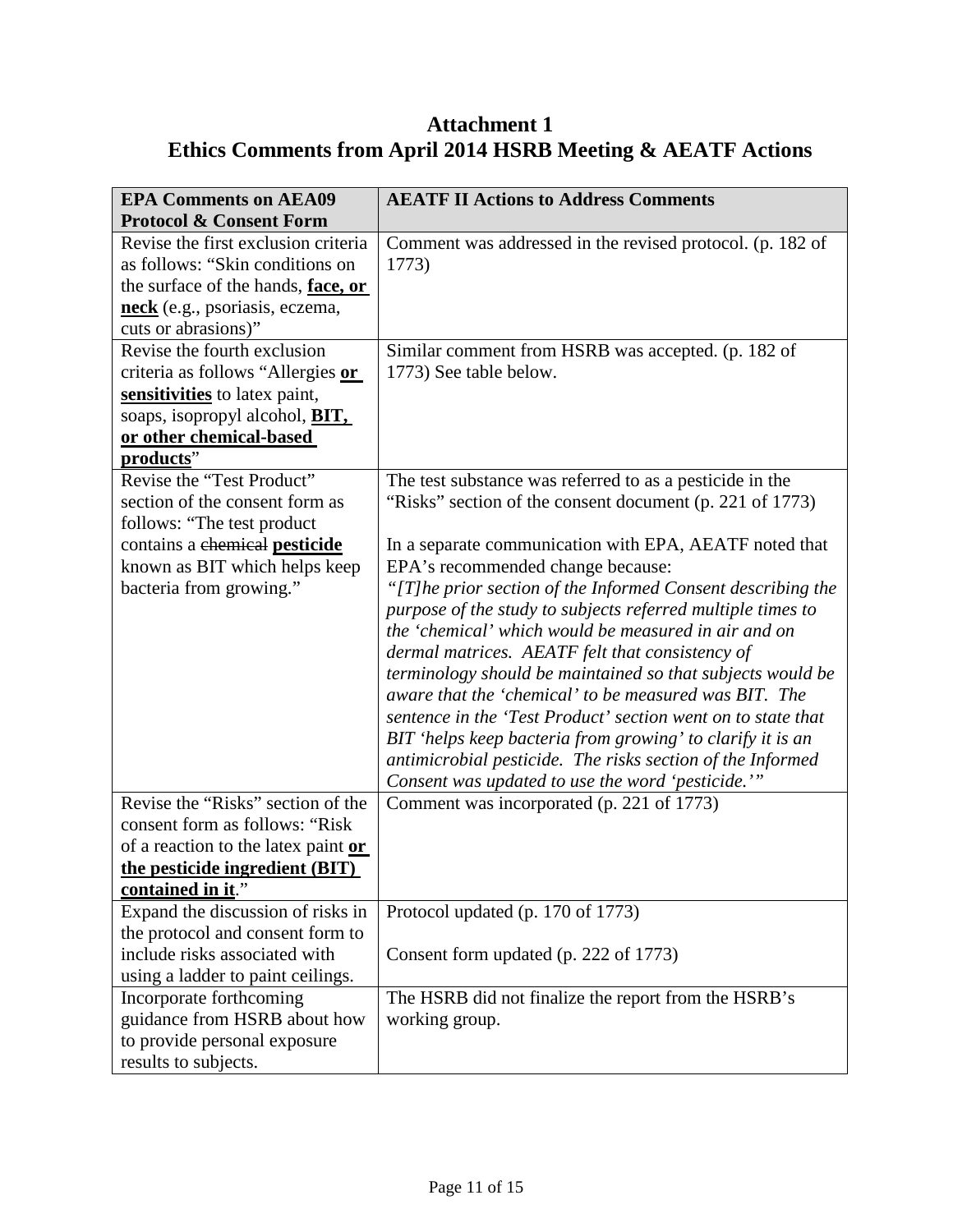# **Attachment 1 Ethics Comments from April 2014 HSRB Meeting & AEATF Actions**

| <b>EPA Comments on AEA09</b>           | <b>AEATF II Actions to Address Comments</b>                        |  |  |  |  |
|----------------------------------------|--------------------------------------------------------------------|--|--|--|--|
| <b>Protocol &amp; Consent Form</b>     |                                                                    |  |  |  |  |
| Revise the first exclusion criteria    | Comment was addressed in the revised protocol. (p. 182 of          |  |  |  |  |
| as follows: "Skin conditions on        | 1773)                                                              |  |  |  |  |
| the surface of the hands, face, or     |                                                                    |  |  |  |  |
| neck (e.g., psoriasis, eczema,         |                                                                    |  |  |  |  |
| cuts or abrasions)"                    |                                                                    |  |  |  |  |
| Revise the fourth exclusion            | Similar comment from HSRB was accepted. (p. 182 of                 |  |  |  |  |
| criteria as follows "Allergies or      | 1773) See table below.                                             |  |  |  |  |
| sensitivities to latex paint,          |                                                                    |  |  |  |  |
| soaps, isopropyl alcohol, <b>BIT</b> , |                                                                    |  |  |  |  |
| or other chemical-based                |                                                                    |  |  |  |  |
| products"                              |                                                                    |  |  |  |  |
| Revise the "Test Product"              | The test substance was referred to as a pesticide in the           |  |  |  |  |
| section of the consent form as         | "Risks" section of the consent document (p. 221 of 1773)           |  |  |  |  |
| follows: "The test product"            |                                                                    |  |  |  |  |
| contains a chemical pesticide          | In a separate communication with EPA, AEATF noted that             |  |  |  |  |
|                                        | EPA's recommended change because:<br>known as BIT which helps keep |  |  |  |  |
| bacteria from growing."                | "[T] he prior section of the Informed Consent describing the       |  |  |  |  |
|                                        | purpose of the study to subjects referred multiple times to        |  |  |  |  |
|                                        | the 'chemical' which would be measured in air and on               |  |  |  |  |
|                                        | dermal matrices. AEATF felt that consistency of                    |  |  |  |  |
|                                        | terminology should be maintained so that subjects would be         |  |  |  |  |
|                                        | aware that the 'chemical' to be measured was BIT. The              |  |  |  |  |
|                                        | sentence in the 'Test Product' section went on to state that       |  |  |  |  |
|                                        | BIT 'helps keep bacteria from growing' to clarify it is an         |  |  |  |  |
|                                        | antimicrobial pesticide. The risks section of the Informed         |  |  |  |  |
|                                        | Consent was updated to use the word 'pesticide.'"                  |  |  |  |  |
| Revise the "Risks" section of the      | Comment was incorporated (p. 221 of 1773)                          |  |  |  |  |
| consent form as follows: "Risk"        |                                                                    |  |  |  |  |
| of a reaction to the latex paint or    |                                                                    |  |  |  |  |
| the pesticide ingredient (BIT)         |                                                                    |  |  |  |  |
| <u>contained in it.</u>                |                                                                    |  |  |  |  |
| Expand the discussion of risks in      | Protocol updated (p. 170 of 1773)                                  |  |  |  |  |
| the protocol and consent form to       |                                                                    |  |  |  |  |
| include risks associated with          | Consent form updated (p. 222 of 1773)                              |  |  |  |  |
| using a ladder to paint ceilings.      |                                                                    |  |  |  |  |
| Incorporate forthcoming                | The HSRB did not finalize the report from the HSRB's               |  |  |  |  |
| guidance from HSRB about how           | working group.                                                     |  |  |  |  |
| to provide personal exposure           |                                                                    |  |  |  |  |
| results to subjects.                   |                                                                    |  |  |  |  |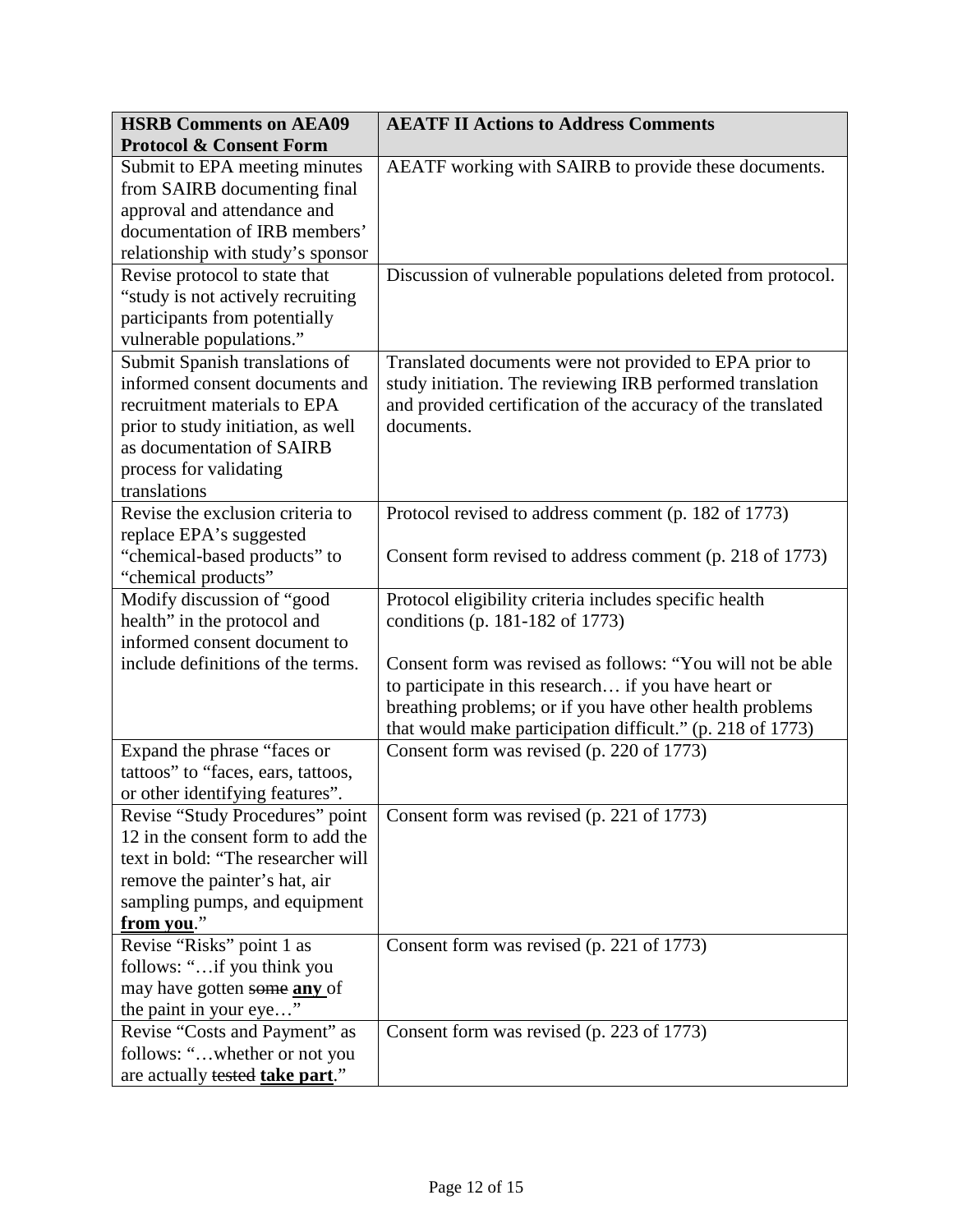| <b>HSRB Comments on AEA09</b>                             | <b>AEATF II Actions to Address Comments</b>                  |  |  |  |
|-----------------------------------------------------------|--------------------------------------------------------------|--|--|--|
| <b>Protocol &amp; Consent Form</b>                        |                                                              |  |  |  |
| Submit to EPA meeting minutes                             | AEATF working with SAIRB to provide these documents.         |  |  |  |
| from SAIRB documenting final                              |                                                              |  |  |  |
| approval and attendance and                               |                                                              |  |  |  |
| documentation of IRB members'                             |                                                              |  |  |  |
| relationship with study's sponsor                         |                                                              |  |  |  |
| Revise protocol to state that                             | Discussion of vulnerable populations deleted from protocol.  |  |  |  |
| "study is not actively recruiting                         |                                                              |  |  |  |
| participants from potentially                             |                                                              |  |  |  |
| vulnerable populations."                                  |                                                              |  |  |  |
| Submit Spanish translations of                            | Translated documents were not provided to EPA prior to       |  |  |  |
| informed consent documents and                            | study initiation. The reviewing IRB performed translation    |  |  |  |
| recruitment materials to EPA                              | and provided certification of the accuracy of the translated |  |  |  |
| prior to study initiation, as well                        | documents.                                                   |  |  |  |
| as documentation of SAIRB                                 |                                                              |  |  |  |
| process for validating                                    |                                                              |  |  |  |
| translations                                              |                                                              |  |  |  |
| Revise the exclusion criteria to                          | Protocol revised to address comment (p. 182 of 1773)         |  |  |  |
| replace EPA's suggested                                   |                                                              |  |  |  |
| "chemical-based products" to                              | Consent form revised to address comment (p. 218 of 1773)     |  |  |  |
| "chemical products"                                       |                                                              |  |  |  |
| Modify discussion of "good<br>health" in the protocol and | Protocol eligibility criteria includes specific health       |  |  |  |
| informed consent document to                              | conditions (p. 181-182 of 1773)                              |  |  |  |
| include definitions of the terms.                         | Consent form was revised as follows: "You will not be able   |  |  |  |
|                                                           | to participate in this research if you have heart or         |  |  |  |
|                                                           | breathing problems; or if you have other health problems     |  |  |  |
|                                                           | that would make participation difficult." (p. 218 of 1773)   |  |  |  |
| Expand the phrase "faces or                               | Consent form was revised (p. 220 of 1773)                    |  |  |  |
| tattoos" to "faces, ears, tattoos,                        |                                                              |  |  |  |
| or other identifying features".                           |                                                              |  |  |  |
| Revise "Study Procedures" point                           | Consent form was revised (p. 221 of 1773)                    |  |  |  |
| 12 in the consent form to add the                         |                                                              |  |  |  |
| text in bold: "The researcher will                        |                                                              |  |  |  |
| remove the painter's hat, air                             |                                                              |  |  |  |
| sampling pumps, and equipment                             |                                                              |  |  |  |
| from you."                                                |                                                              |  |  |  |
| Revise "Risks" point 1 as                                 | Consent form was revised (p. 221 of 1773)                    |  |  |  |
| follows: "if you think you                                |                                                              |  |  |  |
| may have gotten some any of                               |                                                              |  |  |  |
| the paint in your eye"                                    |                                                              |  |  |  |
| Revise "Costs and Payment" as                             | Consent form was revised (p. 223 of 1773)                    |  |  |  |
| follows: "whether or not you                              |                                                              |  |  |  |
| are actually tested take part."                           |                                                              |  |  |  |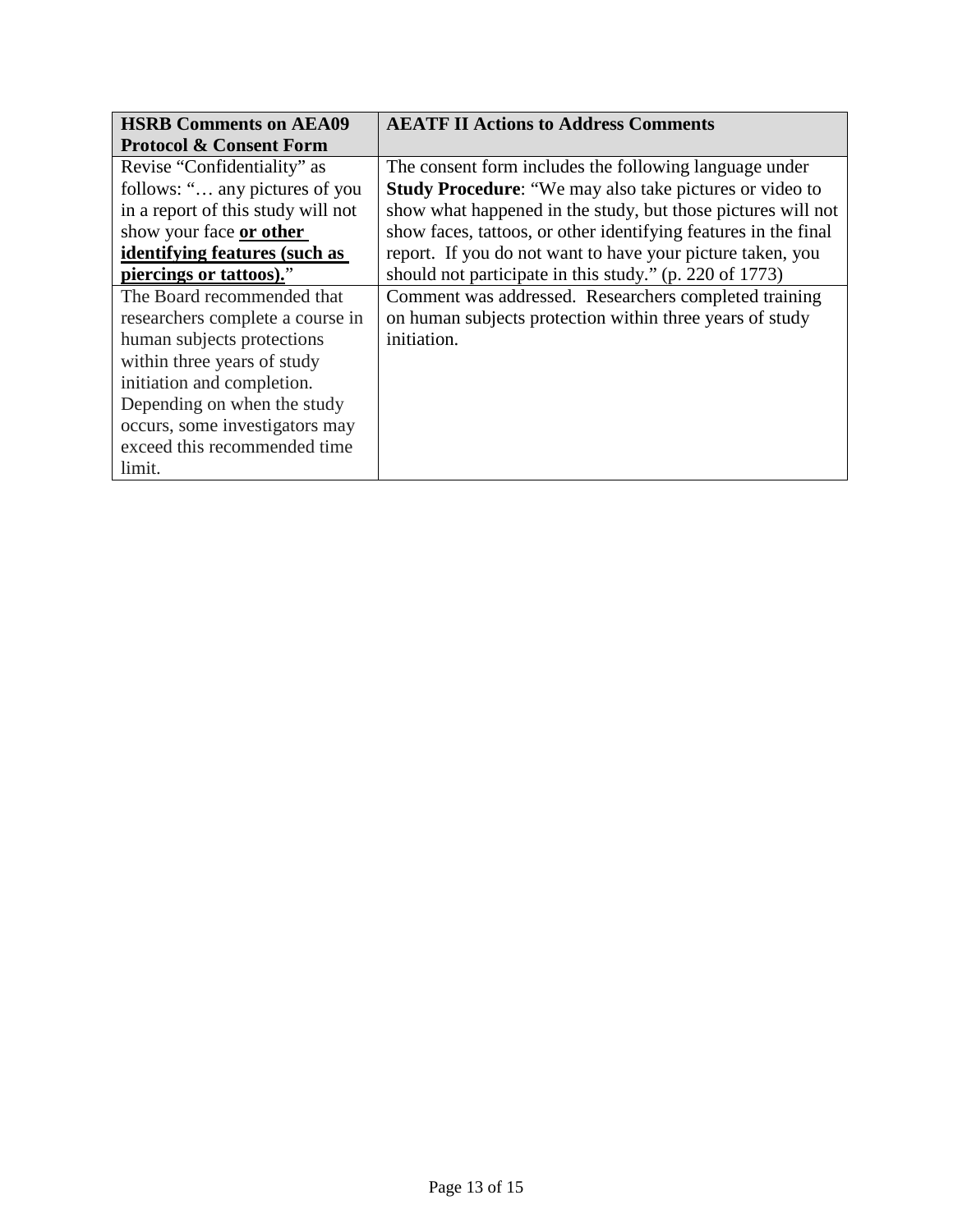| <b>HSRB Comments on AEA09</b>      | <b>AEATF II Actions to Address Comments</b>                     |  |  |
|------------------------------------|-----------------------------------------------------------------|--|--|
| <b>Protocol &amp; Consent Form</b> |                                                                 |  |  |
| Revise "Confidentiality" as        | The consent form includes the following language under          |  |  |
| follows: " any pictures of you     | <b>Study Procedure:</b> "We may also take pictures or video to  |  |  |
| in a report of this study will not | show what happened in the study, but those pictures will not    |  |  |
| show your face or other            | show faces, tattoos, or other identifying features in the final |  |  |
| identifying features (such as      | report. If you do not want to have your picture taken, you      |  |  |
| piercings or tattoos)."            | should not participate in this study." (p. 220 of 1773)         |  |  |
| The Board recommended that         | Comment was addressed. Researchers completed training           |  |  |
| researchers complete a course in   | on human subjects protection within three years of study        |  |  |
| human subjects protections         | initiation.                                                     |  |  |
| within three years of study        |                                                                 |  |  |
| initiation and completion.         |                                                                 |  |  |
| Depending on when the study        |                                                                 |  |  |
| occurs, some investigators may     |                                                                 |  |  |
| exceed this recommended time       |                                                                 |  |  |
| limit.                             |                                                                 |  |  |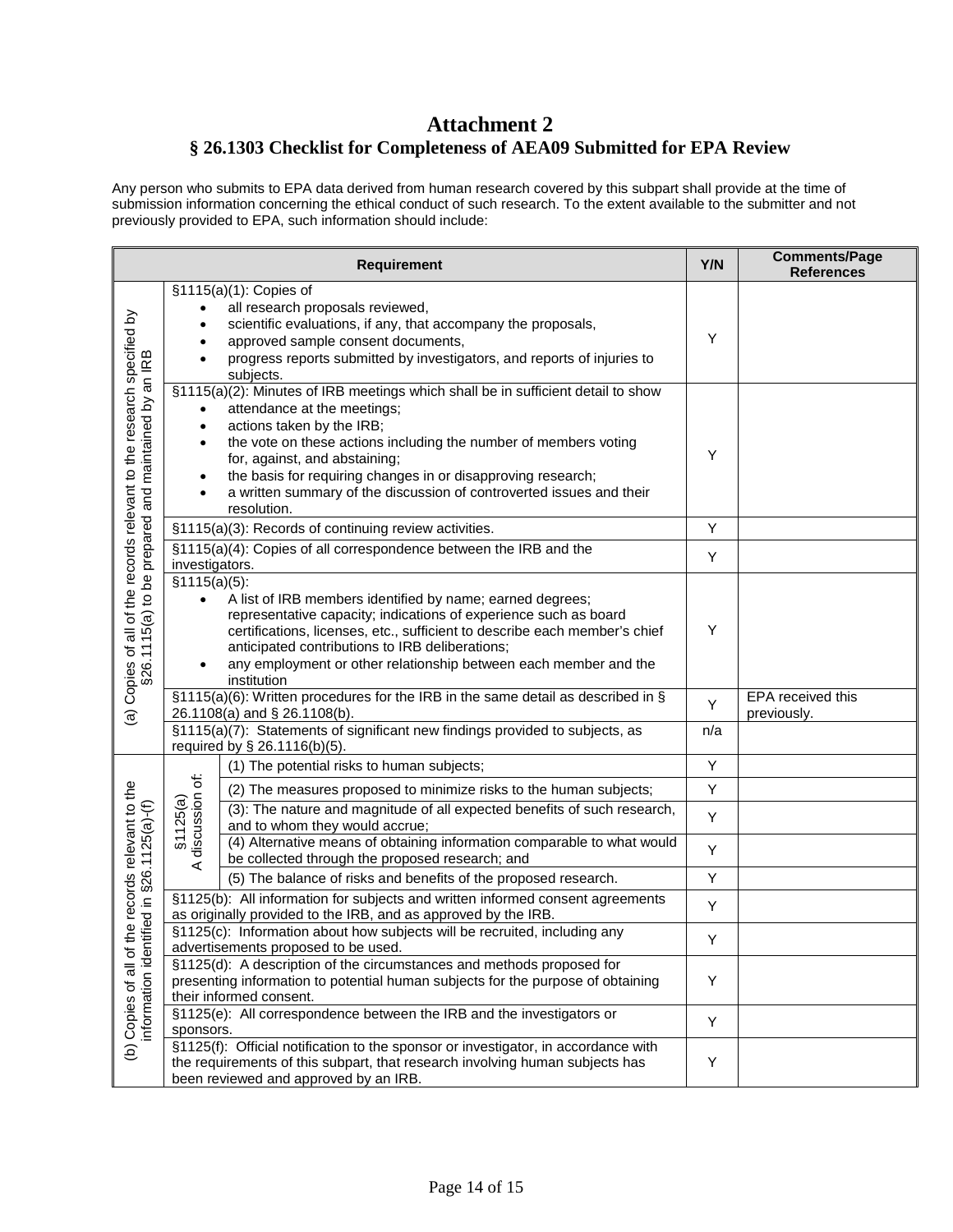# **Attachment 2 § 26.1303 Checklist for Completeness of AEA09 Submitted for EPA Review**

Any person who submits to EPA data derived from human research covered by this subpart shall provide at the time of submission information concerning the ethical conduct of such research. To the extent available to the submitter and not previously provided to EPA, such information should include:

| <b>Requirement</b>                                                                                                            |                                                                                                                                                                                                                          | Y/N                                                                                                                                                                                                                                                                                                                                                                                                      | <b>Comments/Page</b><br><b>References</b> |                                  |
|-------------------------------------------------------------------------------------------------------------------------------|--------------------------------------------------------------------------------------------------------------------------------------------------------------------------------------------------------------------------|----------------------------------------------------------------------------------------------------------------------------------------------------------------------------------------------------------------------------------------------------------------------------------------------------------------------------------------------------------------------------------------------------------|-------------------------------------------|----------------------------------|
| (a) Copies of all of the records relevant to the research specified by<br>§26.1115(a) to be prepared and maintained by an IRB | ٠                                                                                                                                                                                                                        | §1115(a)(1): Copies of<br>all research proposals reviewed,<br>scientific evaluations, if any, that accompany the proposals,<br>approved sample consent documents,<br>progress reports submitted by investigators, and reports of injuries to<br>subjects.                                                                                                                                                | Υ                                         |                                  |
|                                                                                                                               | $\bullet$<br>$\bullet$<br>$\bullet$                                                                                                                                                                                      | §1115(a)(2): Minutes of IRB meetings which shall be in sufficient detail to show<br>attendance at the meetings;<br>actions taken by the IRB;<br>the vote on these actions including the number of members voting<br>for, against, and abstaining;<br>the basis for requiring changes in or disapproving research;<br>a written summary of the discussion of controverted issues and their<br>resolution. | Y                                         |                                  |
|                                                                                                                               |                                                                                                                                                                                                                          | §1115(a)(3): Records of continuing review activities.                                                                                                                                                                                                                                                                                                                                                    | Υ                                         |                                  |
|                                                                                                                               | investigators.                                                                                                                                                                                                           | §1115(a)(4): Copies of all correspondence between the IRB and the                                                                                                                                                                                                                                                                                                                                        | Υ                                         |                                  |
|                                                                                                                               | §1115(a)(5):<br>$\bullet$<br>$\bullet$                                                                                                                                                                                   | A list of IRB members identified by name; earned degrees;<br>representative capacity; indications of experience such as board<br>certifications, licenses, etc., sufficient to describe each member's chief<br>anticipated contributions to IRB deliberations;<br>any employment or other relationship between each member and the<br>institution                                                        | Υ                                         |                                  |
|                                                                                                                               |                                                                                                                                                                                                                          | §1115(a)(6): Written procedures for the IRB in the same detail as described in §<br>26.1108(a) and § 26.1108(b).                                                                                                                                                                                                                                                                                         | Y                                         | EPA received this<br>previously. |
|                                                                                                                               | §1115(a)(7): Statements of significant new findings provided to subjects, as<br>required by § 26.1116(b)(5).                                                                                                             |                                                                                                                                                                                                                                                                                                                                                                                                          | n/a                                       |                                  |
| the records relevant to the<br>tified in §26.1125(a)-(f)<br>information ider<br>(b) Copies of all of                          |                                                                                                                                                                                                                          | (1) The potential risks to human subjects;                                                                                                                                                                                                                                                                                                                                                               | Υ                                         |                                  |
|                                                                                                                               | A discussion of:<br>§1125(a)                                                                                                                                                                                             | (2) The measures proposed to minimize risks to the human subjects;                                                                                                                                                                                                                                                                                                                                       | Υ                                         |                                  |
|                                                                                                                               |                                                                                                                                                                                                                          | (3): The nature and magnitude of all expected benefits of such research,<br>and to whom they would accrue;                                                                                                                                                                                                                                                                                               | Y                                         |                                  |
|                                                                                                                               |                                                                                                                                                                                                                          | (4) Alternative means of obtaining information comparable to what would<br>be collected through the proposed research; and                                                                                                                                                                                                                                                                               | Υ                                         |                                  |
|                                                                                                                               |                                                                                                                                                                                                                          | (5) The balance of risks and benefits of the proposed research.                                                                                                                                                                                                                                                                                                                                          | Υ                                         |                                  |
|                                                                                                                               | §1125(b): All information for subjects and written informed consent agreements<br>as originally provided to the IRB, and as approved by the IRB.                                                                         |                                                                                                                                                                                                                                                                                                                                                                                                          | Υ                                         |                                  |
|                                                                                                                               | §1125(c): Information about how subjects will be recruited, including any<br>advertisements proposed to be used.                                                                                                         |                                                                                                                                                                                                                                                                                                                                                                                                          | Υ                                         |                                  |
|                                                                                                                               | §1125(d): A description of the circumstances and methods proposed for<br>presenting information to potential human subjects for the purpose of obtaining<br>their informed consent.                                      |                                                                                                                                                                                                                                                                                                                                                                                                          | Υ                                         |                                  |
|                                                                                                                               | §1125(e): All correspondence between the IRB and the investigators or                                                                                                                                                    |                                                                                                                                                                                                                                                                                                                                                                                                          | Υ                                         |                                  |
|                                                                                                                               | sponsors.<br>§1125(f): Official notification to the sponsor or investigator, in accordance with<br>the requirements of this subpart, that research involving human subjects has<br>been reviewed and approved by an IRB. |                                                                                                                                                                                                                                                                                                                                                                                                          | Υ                                         |                                  |